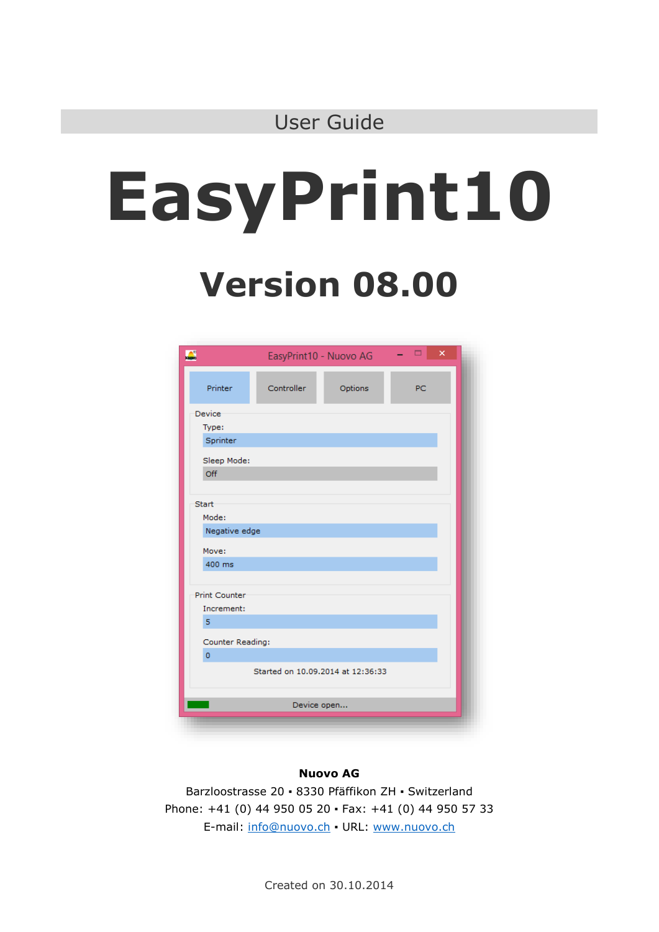# **EasyPrint10**

# **Version 08.00**

| $\overline{\mathbf{L}}$ | EasyPrint10 - Nuovo AG            |         | ▭<br>$\boldsymbol{\mathsf{x}}$<br>- 1 |  |
|-------------------------|-----------------------------------|---------|---------------------------------------|--|
| Printer                 | Controller                        | Options | PC                                    |  |
| Device                  |                                   |         |                                       |  |
| Type:                   |                                   |         |                                       |  |
| Sprinter                |                                   |         |                                       |  |
| Sleep Mode:             |                                   |         |                                       |  |
| Off                     |                                   |         |                                       |  |
|                         |                                   |         |                                       |  |
| Start                   |                                   |         |                                       |  |
| Mode:                   |                                   |         |                                       |  |
| Negative edge           |                                   |         |                                       |  |
| Move:                   |                                   |         |                                       |  |
| 400 ms                  |                                   |         |                                       |  |
|                         |                                   |         |                                       |  |
| Print Counter           |                                   |         |                                       |  |
| Increment:              |                                   |         |                                       |  |
| 5                       |                                   |         |                                       |  |
|                         |                                   |         |                                       |  |
| Counter Reading:        |                                   |         |                                       |  |
| $\overline{0}$          |                                   |         |                                       |  |
|                         | Started on 10.09.2014 at 12:36:33 |         |                                       |  |
|                         |                                   |         |                                       |  |
|                         | Device open                       |         |                                       |  |
|                         |                                   |         |                                       |  |

#### **Nuovo AG**

Barzloostrasse 20 ▪ 8330 Pfäffikon ZH ▪ Switzerland Phone: +41 (0) 44 950 05 20 ▪ Fax: +41 (0) 44 950 57 33 E-mail: [info@nuovo.ch](mailto:info@nuovo.ch) ▪ URL: [www.nuovo.ch](http://www.nuovo.ch/)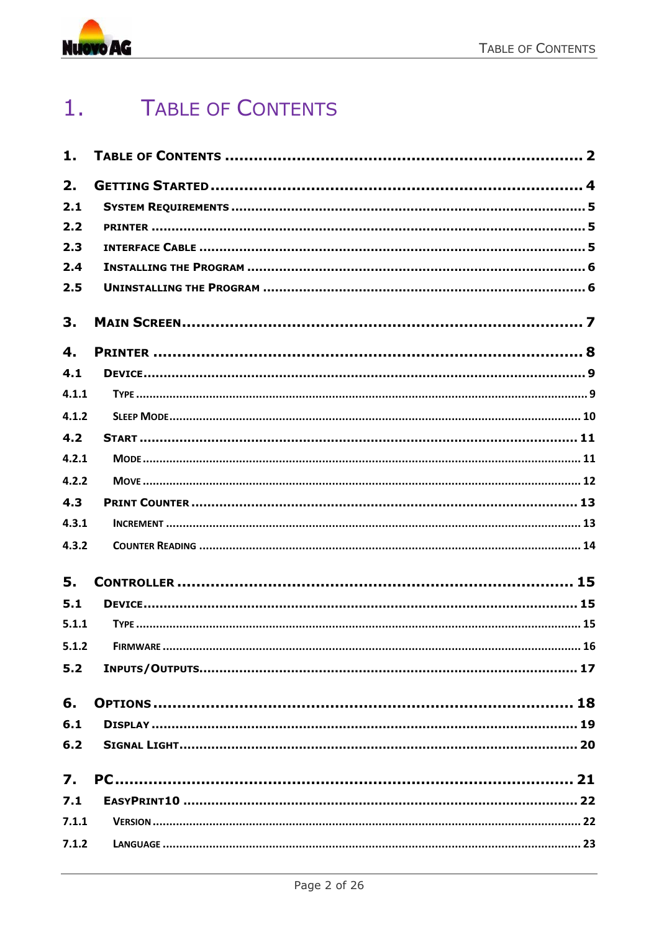

#### <span id="page-1-0"></span>**TABLE OF CONTENTS**  $1.$

| 1.               |  |
|------------------|--|
| 2.               |  |
| 2.1              |  |
| 2.2              |  |
| 2.3              |  |
| 2.4              |  |
| 2.5              |  |
| 3.               |  |
| 4.               |  |
| 4.1              |  |
| 4.1.1            |  |
| 4.1.2            |  |
| 4.2              |  |
| 4.2.1            |  |
| 4.2.2            |  |
| 4.3              |  |
| 4.3.1            |  |
| 4.3.2            |  |
| 5.               |  |
| 5.1              |  |
| 5.1.1            |  |
|                  |  |
| 5.2              |  |
| 6.               |  |
| $6.1$            |  |
| 6.2              |  |
| $\overline{7}$ . |  |
| 7.1              |  |
| 7.1.1            |  |
| 7.1.2            |  |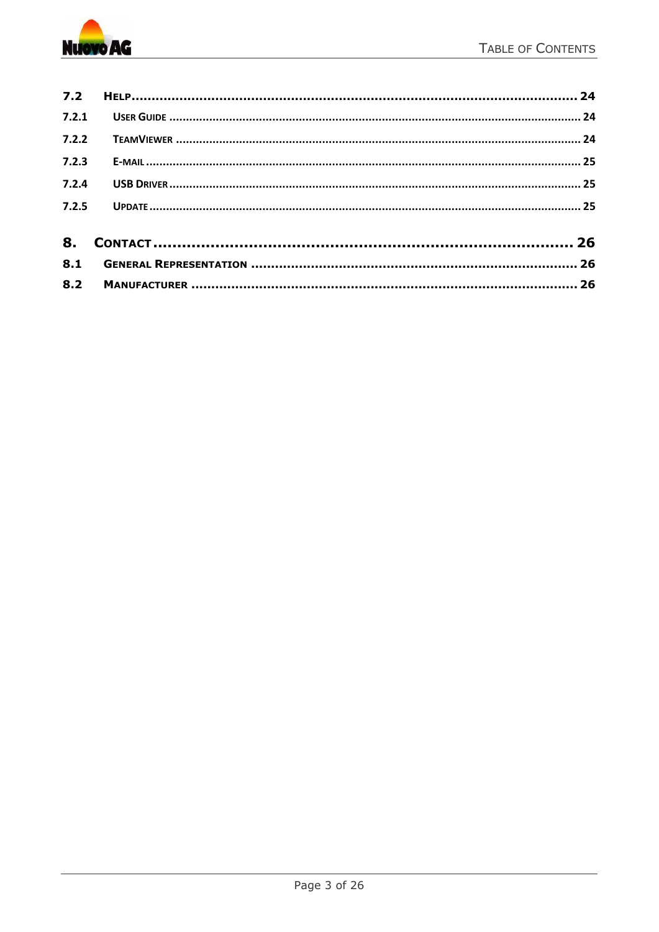

| 7.2.4 |  |
|-------|--|
| 7.2.5 |  |
|       |  |
|       |  |
|       |  |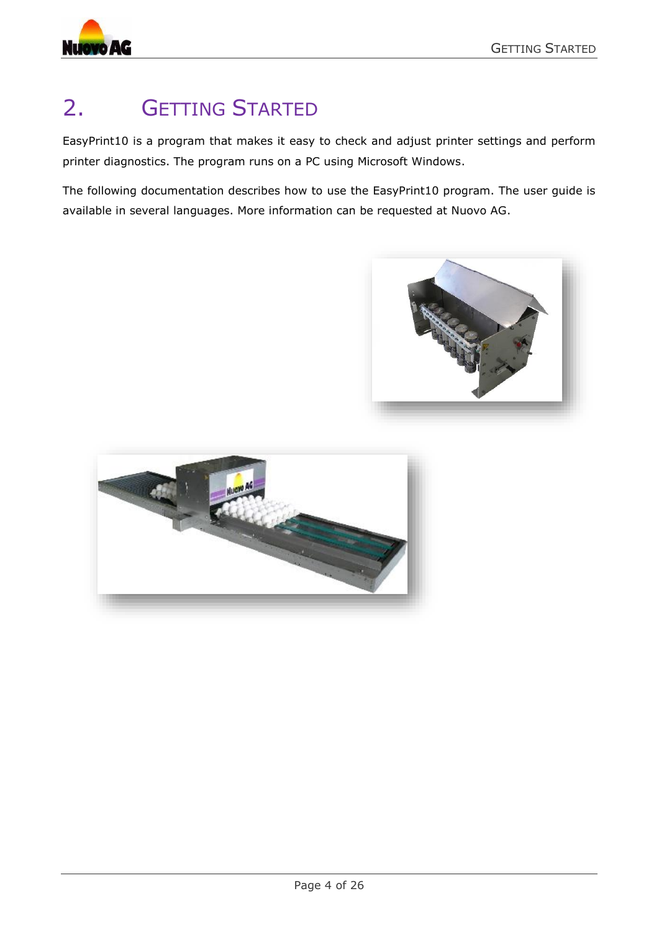

# <span id="page-3-0"></span>2. GETTING STARTED

EasyPrint10 is a program that makes it easy to check and adjust printer settings and perform printer diagnostics. The program runs on a PC using Microsoft Windows.

The following documentation describes how to use the EasyPrint10 program. The user guide is available in several languages. More information can be requested at Nuovo AG.



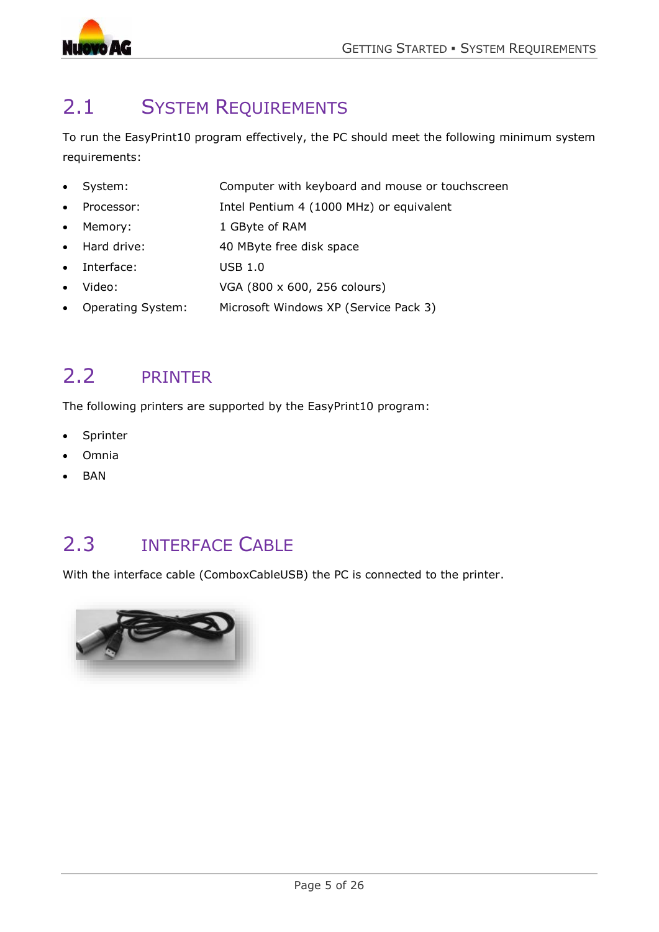

# <span id="page-4-0"></span>2.1 SYSTEM REQUIREMENTS

To run the EasyPrint10 program effectively, the PC should meet the following minimum system requirements:

- System: Computer with keyboard and mouse or touchscreen
- Processor: Intel Pentium 4 (1000 MHz) or equivalent
- Memory: 1 GByte of RAM
- Hard drive: 40 MByte free disk space
- Interface: USB 1.0
- Video: VGA (800 x 600, 256 colours)
- Operating System: Microsoft Windows XP (Service Pack 3)

### <span id="page-4-1"></span>2.2 PRINTER

The following printers are supported by the EasyPrint10 program:

- Sprinter
- Omnia
- BAN

### <span id="page-4-2"></span>2.3 INTERFACE CABLE

With the interface cable (ComboxCableUSB) the PC is connected to the printer.

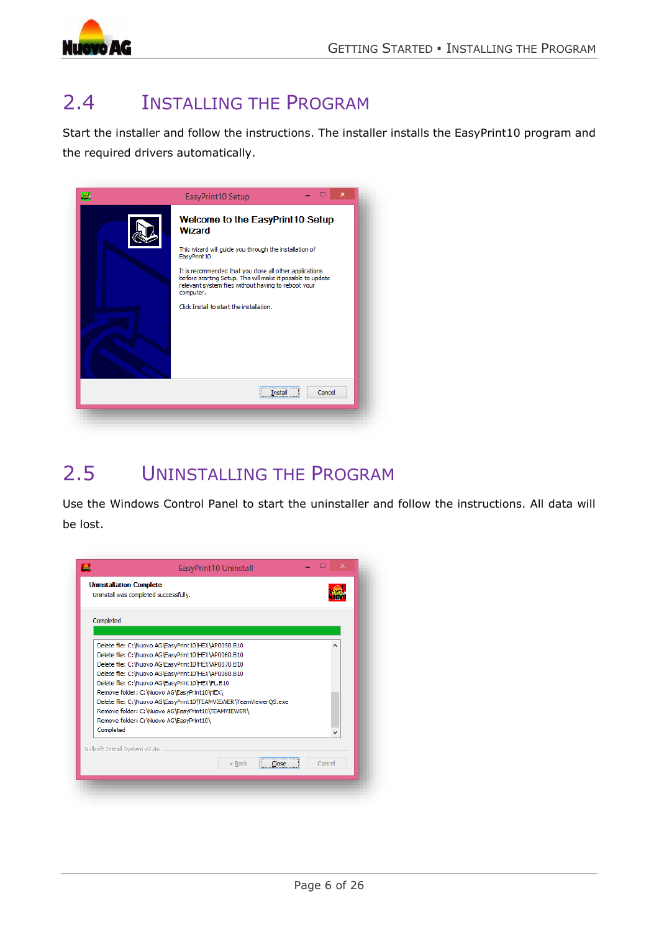

# <span id="page-5-0"></span>2.4 INSTALLING THE PROGRAM

Start the installer and follow the instructions. The installer installs the EasyPrint10 program and the required drivers automatically.

| ×<br>EasyPrint10 Setup                                                                                                                                                                                                                                                                                                                                         |
|----------------------------------------------------------------------------------------------------------------------------------------------------------------------------------------------------------------------------------------------------------------------------------------------------------------------------------------------------------------|
| Welcome to the EasyPrint10 Setup<br>Wizard<br>This wizard will guide you through the installation of<br>EasyPrint10.<br>It is recommended that you close all other applications<br>before starting Setup. This will make it possible to update<br>relevant system files without having to reboot your<br>computer.<br>Click Install to start the installation. |
| Cancel                                                                                                                                                                                                                                                                                                                                                         |
|                                                                                                                                                                                                                                                                                                                                                                |

# <span id="page-5-1"></span>2.5 UNINSTALLING THE PROGRAM

Use the Windows Control Panel to start the uninstaller and follow the instructions. All data will be lost.

| Completed |                                                                                                                                                                                                                                                                             |  |  |
|-----------|-----------------------------------------------------------------------------------------------------------------------------------------------------------------------------------------------------------------------------------------------------------------------------|--|--|
|           |                                                                                                                                                                                                                                                                             |  |  |
|           | Delete file: C: Wuovo AG\EasyPrint10\HEX\AP0050.B10<br>Delete file: C: Wuovo AG\EasyPrint10\HEX\AP0060.B10<br>Delete file: C: Wuovo AG\EasyPrint10\HEX\AP0070.B10<br>Delete file: C: Wuovo AG\EasyPrint10\HEX\AP0080.B10<br>Delete file: C: Wuovo AG\EasyPrint10\HEX\FL.B10 |  |  |
| Completed | Remove folder: C: Wuovo AG\EasyPrint10\HEX\<br>Delete file: C: Wuovo AG\EasyPrint10\TEAMVIEWER\TeamViewerOS.exe<br>Remove folder: C: Wuovo AG\EasyPrint10\TEAMVIEWER\<br>Remove folder: C: Wuovo AG\EasyPrint10\                                                            |  |  |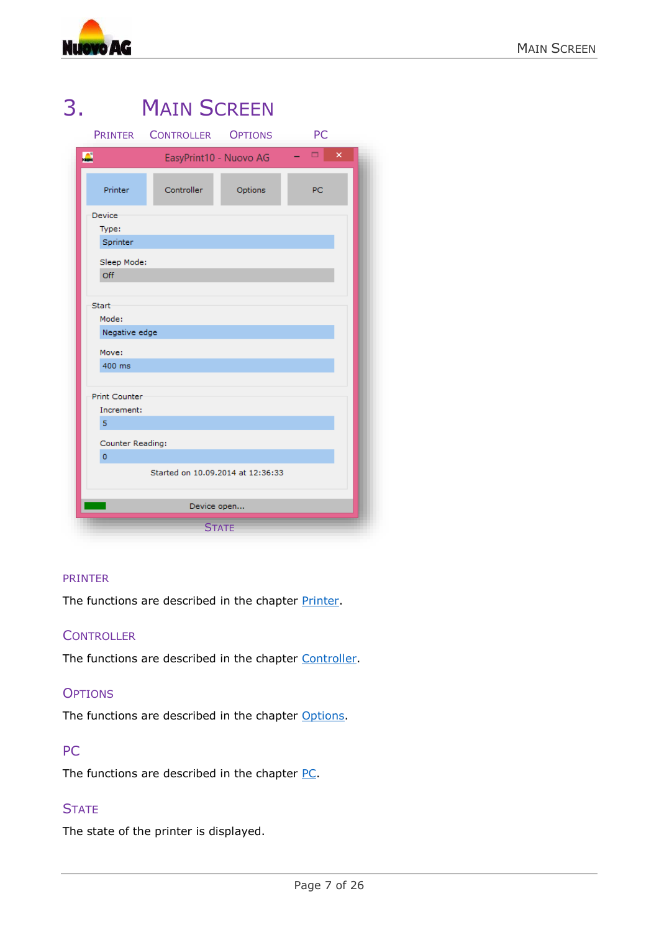

<span id="page-6-0"></span>

|                                   | LIMIN OUNLLIN          |         |        |  |  |  |
|-----------------------------------|------------------------|---------|--------|--|--|--|
| <b>PRINTER</b>                    | CONTROLLER OPTIONS     |         | PC     |  |  |  |
| $\mathbf{C}$                      | EasyPrint10 - Nuovo AG |         | ×<br>▭ |  |  |  |
| Printer                           | Controller             | Options | PC     |  |  |  |
| Device<br>Type:<br>Sprinter       |                        |         |        |  |  |  |
| Sleep Mode:<br>Off                |                        |         |        |  |  |  |
| Start<br>Mode:<br>Negative edge   |                        |         |        |  |  |  |
| Move:<br>400 ms                   |                        |         |        |  |  |  |
| Print Counter<br>Increment:<br>5  |                        |         |        |  |  |  |
| Counter Reading:<br>$\mathbf 0$   |                        |         |        |  |  |  |
| Started on 10.09.2014 at 12:36:33 |                        |         |        |  |  |  |
|                                   | Device open            |         |        |  |  |  |
|                                   | <b>STATE</b>           |         |        |  |  |  |

# 3. MAIN SCREEN

#### PRINTER

The functions are described in the chapter [Printer.](#page-7-0)

#### **CONTROLLER**

The functions are described in the chapter [Controller.](#page-14-0)

#### **OPTIONS**

The functions are described in the chapter [Options.](#page-17-0)

#### PC

The functions are described in the chapter [PC.](#page-20-0)

#### **STATE**

The state of the printer is displayed.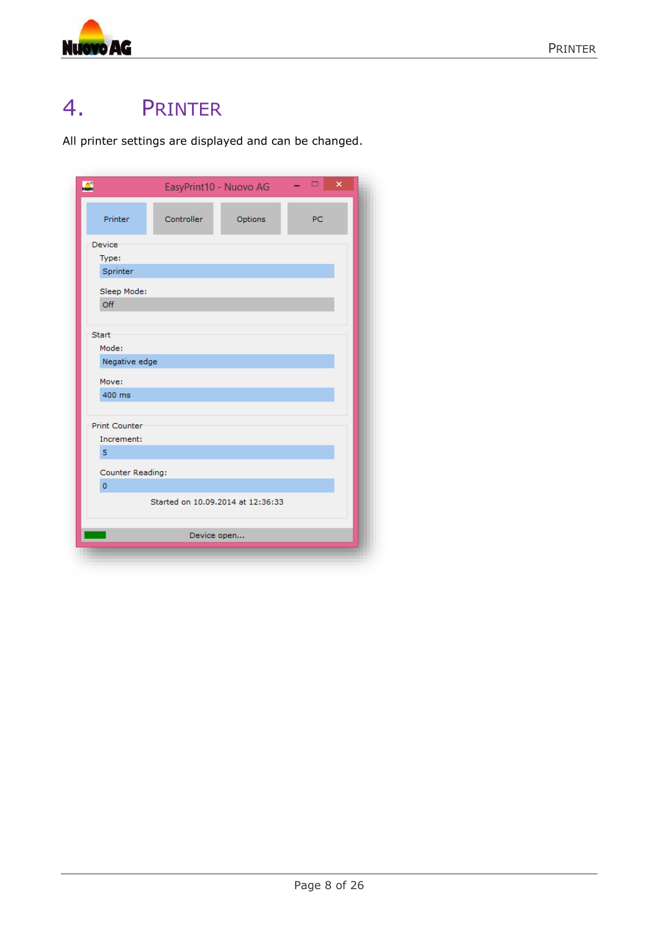

# <span id="page-7-0"></span>4. PRINTER

All printer settings are displayed and can be changed.

| Printer<br>Controller<br>Options<br><b>PC</b><br>Device<br>Type:<br>Sprinter<br>Sleep Mode:<br>Off<br>Start<br>Mode:<br>Negative edge<br>Move:<br>400 ms<br>Print Counter<br>Increment:<br>5<br>Counter Reading:<br>$\overline{0}$ | $\mathbf{L}$ | EasyPrint10 - Nuovo AG |  | $\Box$<br>× |  |  |  |
|------------------------------------------------------------------------------------------------------------------------------------------------------------------------------------------------------------------------------------|--------------|------------------------|--|-------------|--|--|--|
|                                                                                                                                                                                                                                    |              |                        |  |             |  |  |  |
|                                                                                                                                                                                                                                    |              |                        |  |             |  |  |  |
|                                                                                                                                                                                                                                    |              |                        |  |             |  |  |  |
|                                                                                                                                                                                                                                    |              |                        |  |             |  |  |  |
|                                                                                                                                                                                                                                    |              |                        |  |             |  |  |  |
|                                                                                                                                                                                                                                    |              |                        |  |             |  |  |  |
|                                                                                                                                                                                                                                    |              |                        |  |             |  |  |  |
|                                                                                                                                                                                                                                    |              |                        |  |             |  |  |  |
|                                                                                                                                                                                                                                    |              |                        |  |             |  |  |  |
|                                                                                                                                                                                                                                    |              |                        |  |             |  |  |  |
|                                                                                                                                                                                                                                    |              |                        |  |             |  |  |  |
|                                                                                                                                                                                                                                    |              |                        |  |             |  |  |  |
|                                                                                                                                                                                                                                    |              |                        |  |             |  |  |  |
|                                                                                                                                                                                                                                    |              |                        |  |             |  |  |  |
|                                                                                                                                                                                                                                    |              |                        |  |             |  |  |  |
|                                                                                                                                                                                                                                    |              |                        |  |             |  |  |  |
|                                                                                                                                                                                                                                    |              |                        |  |             |  |  |  |
|                                                                                                                                                                                                                                    |              |                        |  |             |  |  |  |
|                                                                                                                                                                                                                                    |              |                        |  |             |  |  |  |
| Started on 10.09.2014 at 12:36:33                                                                                                                                                                                                  |              |                        |  |             |  |  |  |
| Device open                                                                                                                                                                                                                        |              |                        |  |             |  |  |  |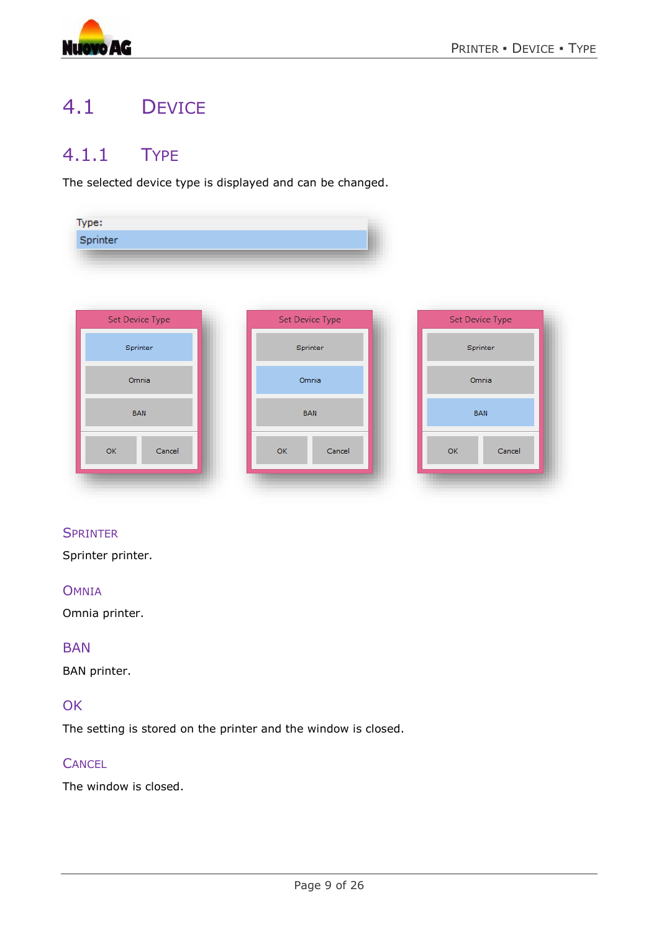

# <span id="page-8-0"></span>4.1 DEVICE

### <span id="page-8-1"></span>4.1.1 TYPE

The selected device type is displayed and can be changed.

| Type:    |  |
|----------|--|
| Sprinter |  |
|          |  |



#### **SPRINTER**

Sprinter printer.

#### **OMNIA**

Omnia printer.

#### BAN

BAN printer.

#### **OK**

The setting is stored on the printer and the window is closed.

#### **CANCEL**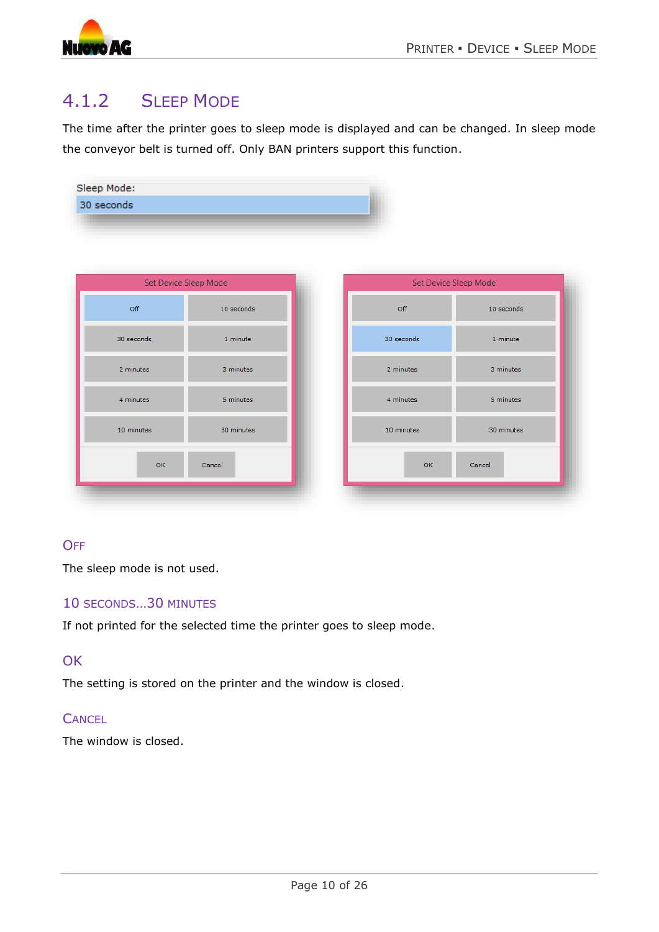



Sleep Mode:

### <span id="page-9-0"></span>4.1.2 SLEEP MODE

The time after the printer goes to sleep mode is displayed and can be changed. In sleep mode the conveyor belt is turned off. Only BAN printers support this function.

|            | Set Device Sleep Mode | Set Device Sleep Mode |            |
|------------|-----------------------|-----------------------|------------|
| Off        | 10 seconds            | Off                   | 10 seconds |
| 30 seconds | 1 minute              | 30 seconds            | 1 minute   |
| 2 minutes  | 3 minutes             | 2 minutes             | 3 minutes  |
| 4 minutes  | 5 minutes             | 4 minutes             | 5 minutes  |
| 10 minutes | 30 minutes            | 10 minutes            | 30 minutes |

#### **OFF**

The sleep mode is not used.

#### 10 SECONDS…30 MINUTES

If not printed for the selected time the printer goes to sleep mode.

#### **OK**

The setting is stored on the printer and the window is closed.

#### **CANCEL**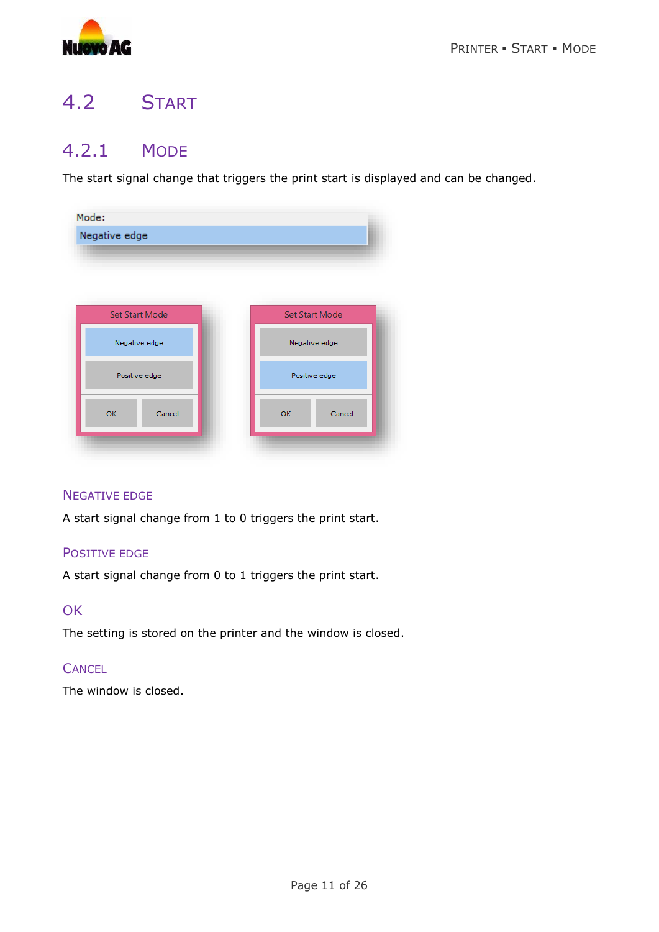

# <span id="page-10-0"></span>4.2 START

### <span id="page-10-1"></span>4.2.1 MODE

The start signal change that triggers the print start is displayed and can be changed.

| Mode:<br>Negative edge |                       |
|------------------------|-----------------------|
|                        |                       |
| <b>Set Start Mode</b>  | <b>Set Start Mode</b> |
| Negative edge          | Negative edge         |
| Positive edge          | Positive edge         |
| Cancel<br>OK           | OK<br>Cancel          |
|                        |                       |

#### NEGATIVE EDGE

A start signal change from 1 to 0 triggers the print start.

#### POSITIVE EDGE

A start signal change from 0 to 1 triggers the print start.

#### **OK**

The setting is stored on the printer and the window is closed.

#### **CANCEL**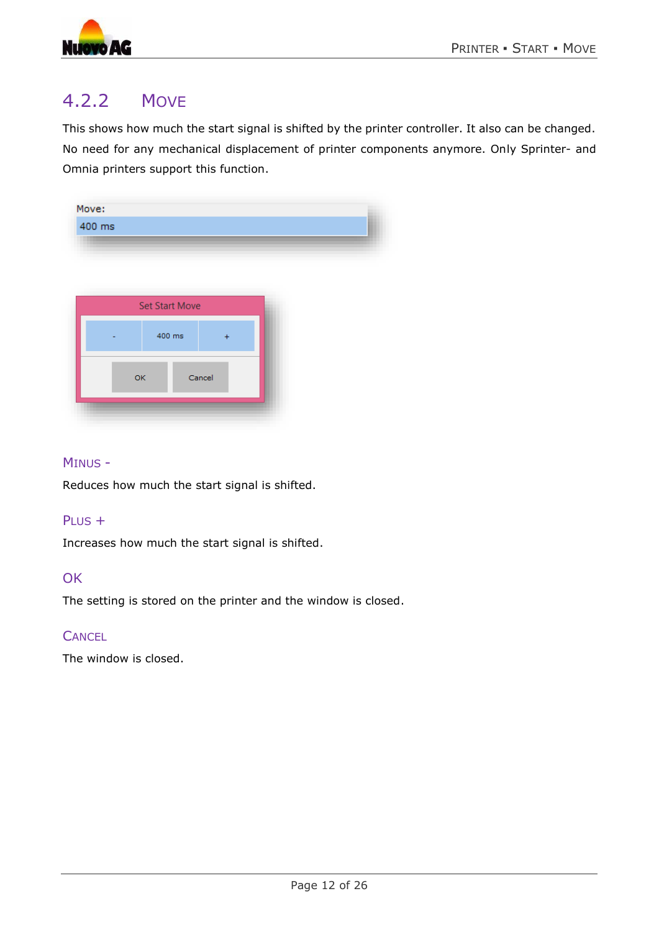

### <span id="page-11-0"></span>4.2.2 MOVE

This shows how much the start signal is shifted by the printer controller. It also can be changed. No need for any mechanical displacement of printer components anymore. Only Sprinter- and Omnia printers support this function.

| Move:<br>400 ms |                       |        |  |
|-----------------|-----------------------|--------|--|
|                 |                       |        |  |
|                 | <b>Set Start Move</b> |        |  |
|                 | 400 ms                |        |  |
| OK              |                       | Cancel |  |
|                 |                       |        |  |

#### MINUS -

Reduces how much the start signal is shifted.

#### PLUS +

Increases how much the start signal is shifted.

#### **OK**

The setting is stored on the printer and the window is closed.

#### **CANCEL**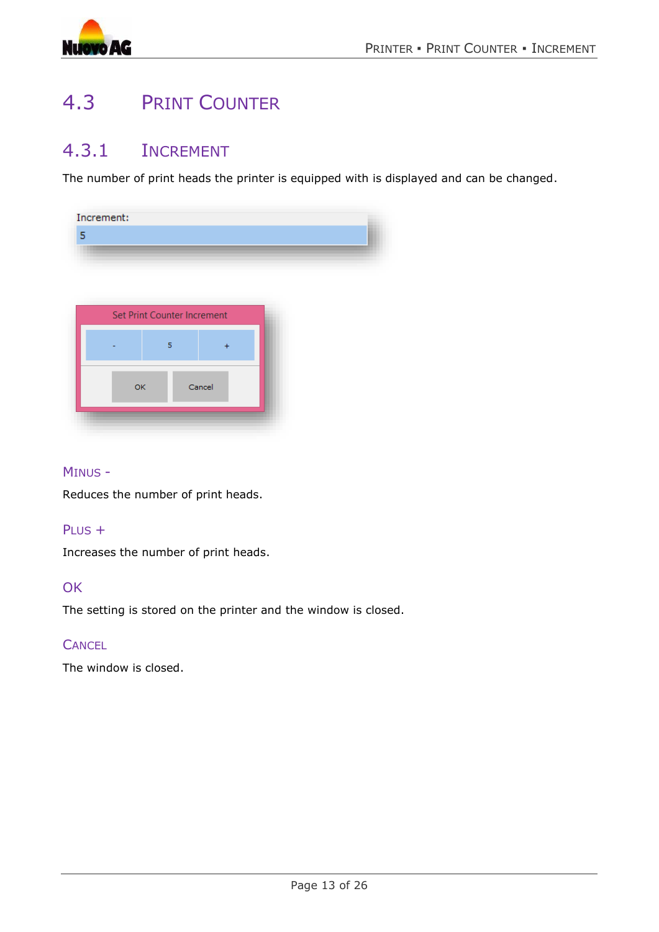

## <span id="page-12-0"></span>4.3 PRINT COUNTER

### <span id="page-12-1"></span>4.3.1 INCREMENT

The number of print heads the printer is equipped with is displayed and can be changed.

| 5<br>Set Print Counter Increment<br>5<br>Cancel<br>OK | Increment: |  |  |
|-------------------------------------------------------|------------|--|--|
|                                                       |            |  |  |
|                                                       |            |  |  |
|                                                       |            |  |  |
|                                                       |            |  |  |
|                                                       |            |  |  |
|                                                       |            |  |  |
|                                                       |            |  |  |
|                                                       |            |  |  |
|                                                       |            |  |  |
|                                                       |            |  |  |
|                                                       |            |  |  |

#### MINUS -

Reduces the number of print heads.

#### PLUS +

Increases the number of print heads.

#### **OK**

The setting is stored on the printer and the window is closed.

#### **CANCEL**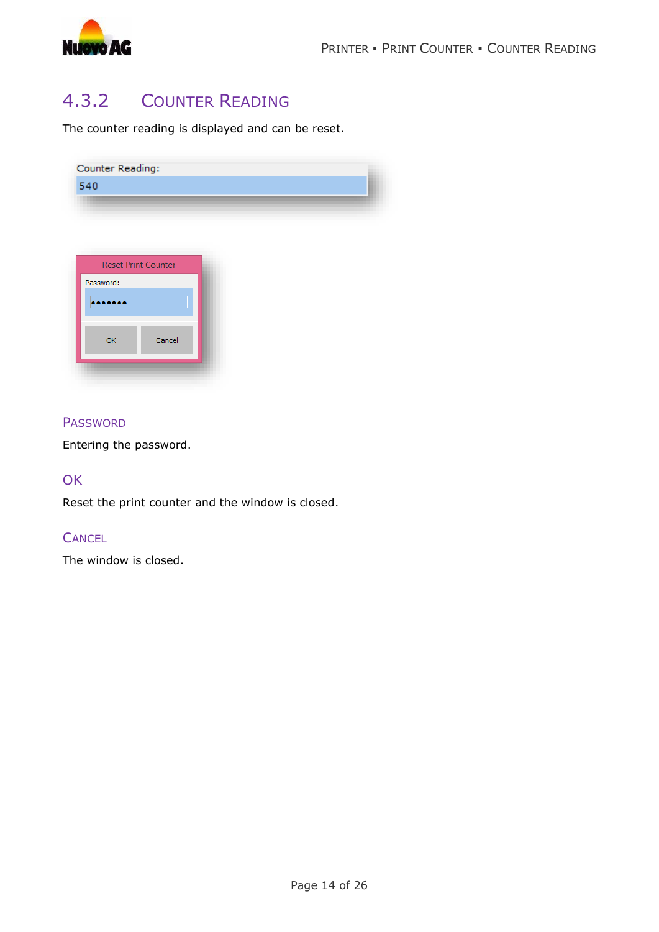

### <span id="page-13-0"></span>4.3.2 COUNTER READING

The counter reading is displayed and can be reset.

| Counter Reading:           |  |
|----------------------------|--|
| 540                        |  |
|                            |  |
|                            |  |
|                            |  |
| <b>Reset Print Counter</b> |  |

| OK | Cancel |
|----|--------|

#### **PASSWORD**

Entering the password.

#### **OK**

Reset the print counter and the window is closed.

#### **CANCEL**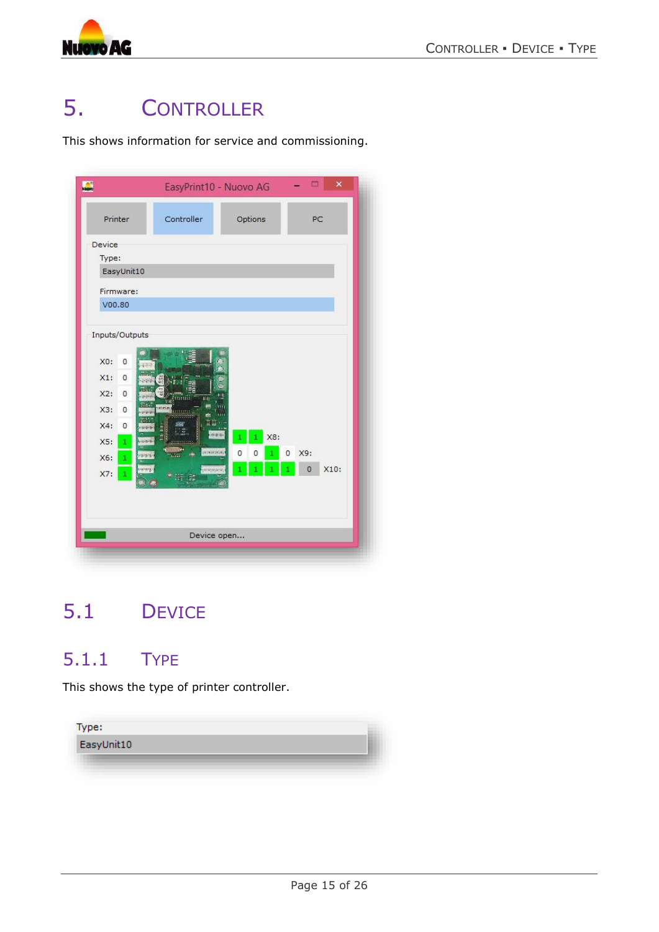

# <span id="page-14-0"></span>5. CONTROLLER

This shows information for service and commissioning.

| Printer                          | Controller         | Options  | PC              |
|----------------------------------|--------------------|----------|-----------------|
| Device                           |                    |          |                 |
| Type:                            |                    |          |                 |
| EasyUnit10                       |                    |          |                 |
| Firmware:                        |                    |          |                 |
| V00.80                           |                    |          |                 |
|                                  |                    |          |                 |
| Inputs/Outputs                   |                    |          |                 |
| $X0$ :<br>0                      |                    |          |                 |
| $X1$ :<br>$\circ$                |                    |          |                 |
| X2:<br>$\circ$                   |                    |          |                 |
| X3:<br>$\circ$                   | ÈН<br><b>Mille</b> |          |                 |
| X4:                              |                    |          |                 |
| 0                                | de pri             | X8:<br>1 |                 |
| X5:<br>÷<br><b>CONTROL</b><br>ww | arramatika         | 0<br>0   | X9:<br>0        |
| X6:<br>÷<br><b>SPACE</b>         | programs.          |          | X10:<br>$\circ$ |
| X7:<br>1                         | $\frac{1}{2}$      |          |                 |
|                                  |                    |          |                 |
|                                  |                    |          |                 |
|                                  |                    |          |                 |

# <span id="page-14-1"></span>5.1 DEVICE

### <span id="page-14-2"></span>5.1.1 TYPE

This shows the type of printer controller.

| Type:      |  |
|------------|--|
| EasyUnit10 |  |
|            |  |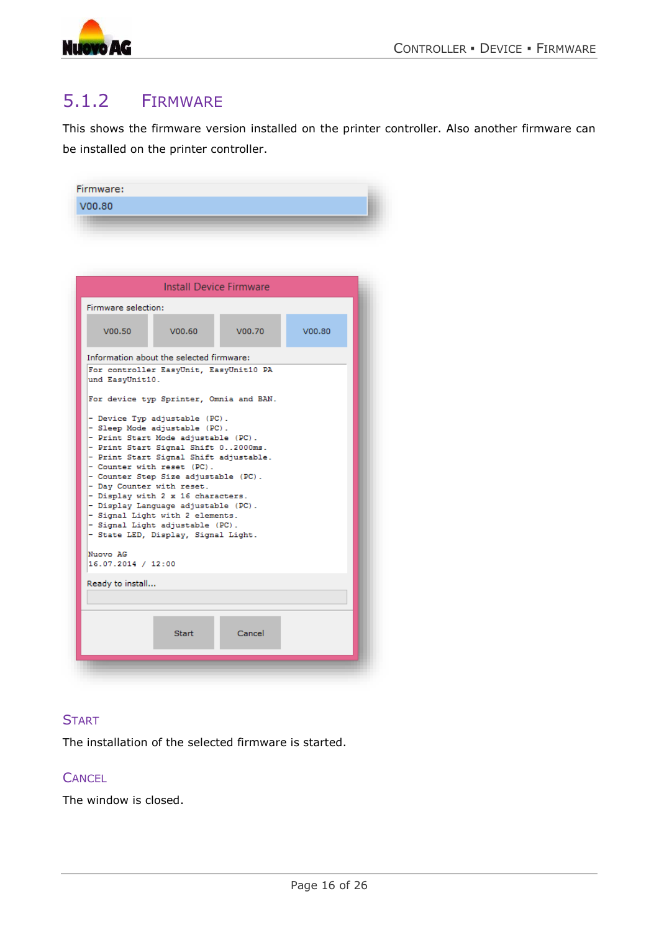

### <span id="page-15-0"></span>5.1.2 FIRMWARE

This shows the firmware version installed on the printer controller. Also another firmware can be installed on the printer controller.

|                                                                                | <b>Install Device Firmware</b>                                                                                                                                                                                                                                                                                                                                                                                                                                                                   |        |        |
|--------------------------------------------------------------------------------|--------------------------------------------------------------------------------------------------------------------------------------------------------------------------------------------------------------------------------------------------------------------------------------------------------------------------------------------------------------------------------------------------------------------------------------------------------------------------------------------------|--------|--------|
| Firmware selection:                                                            |                                                                                                                                                                                                                                                                                                                                                                                                                                                                                                  |        |        |
| V00.50                                                                         | V00.60                                                                                                                                                                                                                                                                                                                                                                                                                                                                                           | V00.70 | V00.80 |
|                                                                                | Information about the selected firmware:                                                                                                                                                                                                                                                                                                                                                                                                                                                         |        |        |
| und EasyUnit10.<br>- Day Counter with reset.<br>Nuovo AG<br>16.07.2014 / 12:00 | For device typ Sprinter, Omnia and BAN.<br>- Device Typ adjustable (PC).<br>- Sleep Mode adjustable (PC).<br>- Print Start Mode adjustable (PC).<br>- Print Start Signal Shift 02000ms.<br>- Print Start Signal Shift adjustable.<br>- Counter with reset (PC).<br>- Counter Step Size adjustable (PC).<br>- Display with 2 x 16 characters.<br>- Display Language adjustable (PC).<br>- Signal Light with 2 elements.<br>- Signal Light adjustable (PC).<br>- State LED, Display, Signal Light. |        |        |
| Ready to install                                                               |                                                                                                                                                                                                                                                                                                                                                                                                                                                                                                  |        |        |
|                                                                                |                                                                                                                                                                                                                                                                                                                                                                                                                                                                                                  |        |        |
|                                                                                |                                                                                                                                                                                                                                                                                                                                                                                                                                                                                                  |        |        |

#### **START**

The installation of the selected firmware is started.

#### **CANCEL**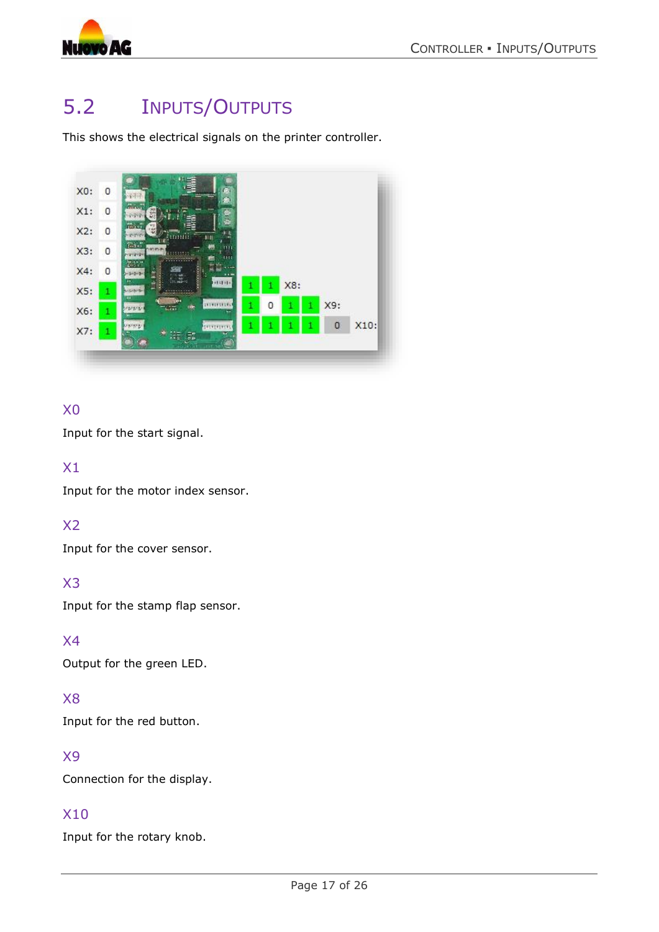![](_page_16_Picture_0.jpeg)

# <span id="page-16-0"></span>5.2 INPUTS/OUTPUTS

This shows the electrical signals on the printer controller.

![](_page_16_Picture_4.jpeg)

#### X0

Input for the start signal.

#### X1

Input for the motor index sensor.

#### X2

Input for the cover sensor.

#### X3

Input for the stamp flap sensor.

#### X4

Output for the green LED.

#### X8

Input for the red button.

#### X9

Connection for the display.

#### X10

Input for the rotary knob.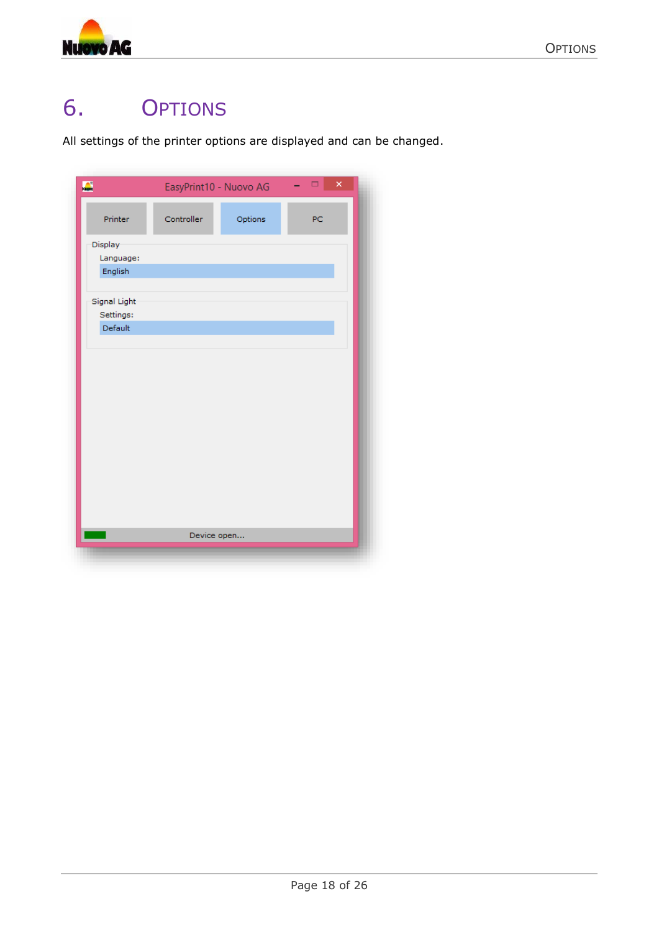![](_page_17_Picture_0.jpeg)

# <span id="page-17-0"></span>6. OPTIONS

All settings of the printer options are displayed and can be changed.

| $\sum_{i=1}^{n}$ | EasyPrint10 - Nuovo AG |         | ×<br>$\Box$<br>- |  |
|------------------|------------------------|---------|------------------|--|
| Printer          | Controller             | Options | PC               |  |
| Display-         |                        |         |                  |  |
| Language:        |                        |         |                  |  |
| English          |                        |         |                  |  |
| Signal Light     |                        |         |                  |  |
| Settings:        |                        |         |                  |  |
| Default          |                        |         |                  |  |
|                  |                        |         |                  |  |
|                  |                        |         |                  |  |
|                  |                        |         |                  |  |
|                  |                        |         |                  |  |
|                  |                        |         |                  |  |
|                  |                        |         |                  |  |
|                  |                        |         |                  |  |
|                  |                        |         |                  |  |
|                  |                        |         |                  |  |
|                  |                        |         |                  |  |
|                  |                        |         |                  |  |
|                  |                        |         |                  |  |
|                  | Device open            |         |                  |  |
|                  |                        |         |                  |  |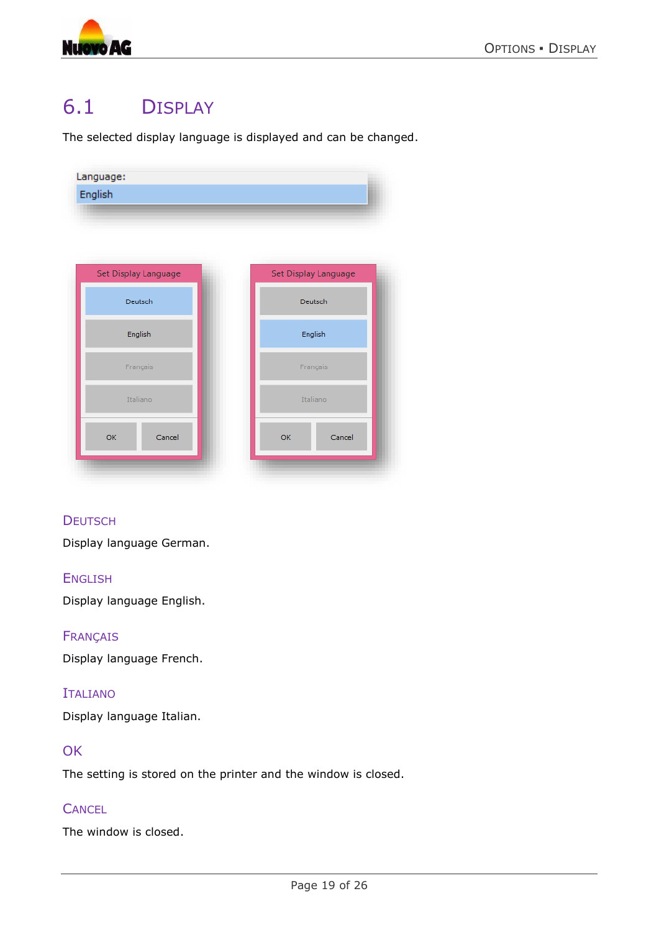![](_page_18_Picture_0.jpeg)

### <span id="page-18-0"></span>6.1 DISPLAY

The selected display language is displayed and can be changed.

![](_page_18_Picture_4.jpeg)

#### **DEUTSCH**

Display language German.

#### ENGLISH

Display language English.

#### **FRANCAIS**

Display language French.

#### ITALIANO

Display language Italian.

#### **OK**

The setting is stored on the printer and the window is closed.

#### **CANCEL**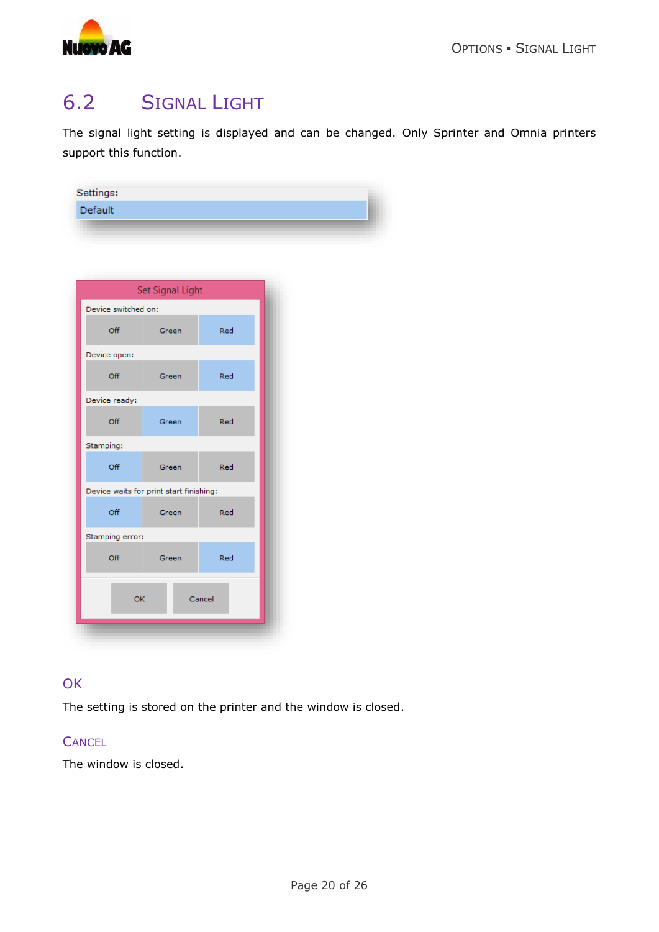![](_page_19_Picture_1.jpeg)

# <span id="page-19-0"></span>6.2 SIGNAL LIGHT

The signal light setting is displayed and can be changed. Only Sprinter and Omnia printers support this function.

| Settings: |  |
|-----------|--|
| Default   |  |
|           |  |

|                                         | Set Signal Light |        |  |  |  |
|-----------------------------------------|------------------|--------|--|--|--|
| Device switched on:                     |                  |        |  |  |  |
| Off                                     | Green            | Red    |  |  |  |
| Device open:                            |                  |        |  |  |  |
| Off                                     | Green            | Red    |  |  |  |
| Device ready:                           |                  |        |  |  |  |
| Off                                     | Green            | Red    |  |  |  |
| Stamping:                               |                  |        |  |  |  |
| Off                                     | Green            | Red    |  |  |  |
| Device waits for print start finishing: |                  |        |  |  |  |
| Off                                     | Green            | Red    |  |  |  |
| Stamping error:                         |                  |        |  |  |  |
| Off                                     | Green            | Red    |  |  |  |
| OK                                      |                  | Cancel |  |  |  |
|                                         |                  |        |  |  |  |
|                                         |                  |        |  |  |  |

#### **OK**

The setting is stored on the printer and the window is closed.

#### **CANCEL**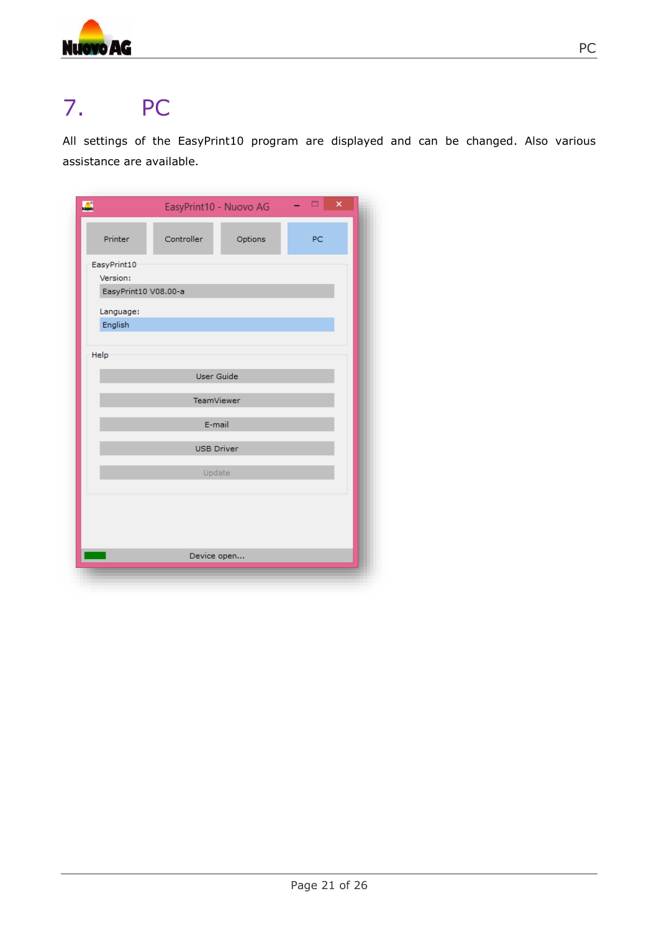![](_page_20_Picture_0.jpeg)

# <span id="page-20-0"></span>7. PC

All settings of the EasyPrint10 program are displayed and can be changed. Also various assistance are available.

| $\mathbf{L}$         | EasyPrint10 - Nuovo AG |         | $\overline{\mathbf{x}}$<br>$\Box$ |
|----------------------|------------------------|---------|-----------------------------------|
| Printer              | Controller             | Options | PC                                |
| EasyPrint10          |                        |         |                                   |
| Version:             |                        |         |                                   |
| EasyPrint10 V08.00-a |                        |         |                                   |
| Language:            |                        |         |                                   |
| English              |                        |         |                                   |
|                      |                        |         |                                   |
| Help                 |                        |         |                                   |
|                      | User Guide             |         |                                   |
|                      |                        |         |                                   |
|                      | <b>TeamViewer</b>      |         |                                   |
|                      |                        |         |                                   |
|                      | E-mail                 |         |                                   |
|                      | <b>USB Driver</b>      |         |                                   |
|                      |                        |         |                                   |
|                      | Update                 |         |                                   |
|                      |                        |         |                                   |
|                      |                        |         |                                   |
|                      |                        |         |                                   |
|                      |                        |         |                                   |
|                      |                        |         |                                   |
|                      | Device open            |         |                                   |
|                      |                        |         |                                   |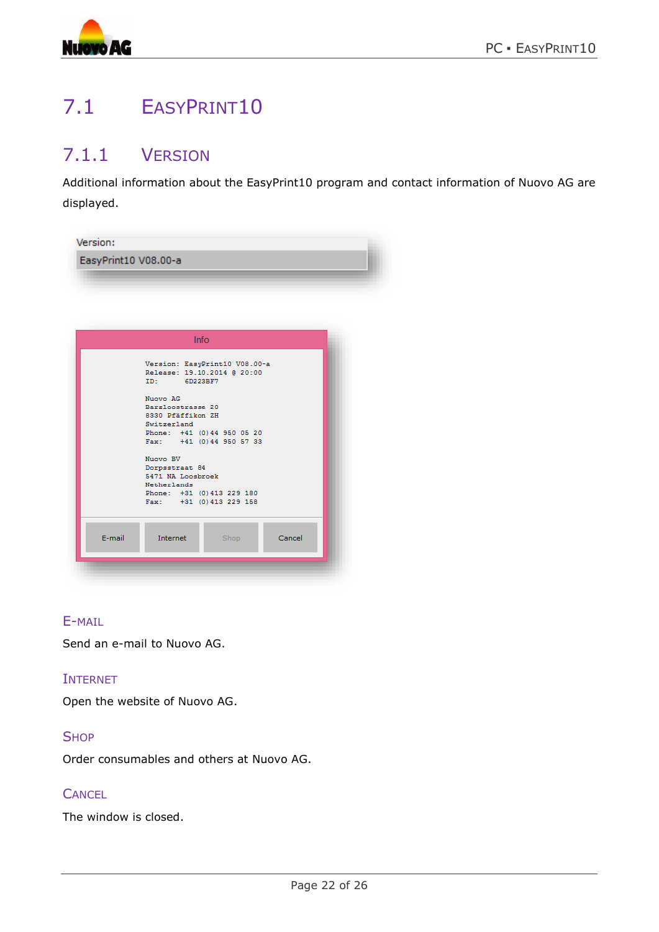![](_page_21_Picture_0.jpeg)

# <span id="page-21-0"></span>7.1 EASYPRINT10

### <span id="page-21-1"></span>7.1.1 VERSION

Additional information about the EasyPrint10 program and contact information of Nuovo AG are displayed.

|        | Info                                                                                    |
|--------|-----------------------------------------------------------------------------------------|
|        | Version: EasyPrint10 V08.00-a<br>Release: 19.10.2014 @ 20:00<br>ID: William<br>6D223BF7 |
|        | Nuovo AG<br>Barzloostrasse 20<br>8330 Pfäffikon ZH<br>Switzerland                       |
|        | Phone: +41 (0) 44 950 05 20<br>Fax: +41 (0) 44 950 57 33                                |
|        | Nuovo BV<br>Dorpsstraat 84<br>5471 NA Loosbroek<br>Netherlands                          |
|        | Phone: +31 (0) 413 229 180<br>Fax: +31 (0) 413 229 158                                  |
| E-mail | Internet<br>Shop<br>Cancel                                                              |

#### E-MAIL

Send an e-mail to Nuovo AG.

#### INTERNET

Open the website of Nuovo AG.

#### **SHOP**

Order consumables and others at Nuovo AG.

#### **CANCEL**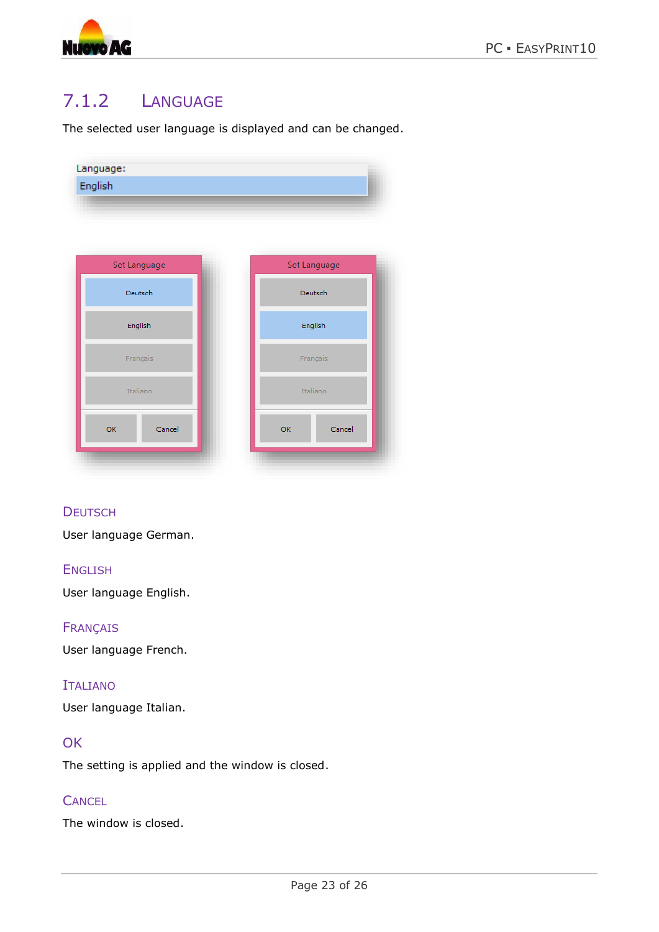![](_page_22_Picture_0.jpeg)

### <span id="page-22-0"></span>7.1.2 LANGUAGE

The selected user language is displayed and can be changed.

|              | Language:<br>English |
|--------------|----------------------|
|              |                      |
|              |                      |
| Set Language | Set Language         |
| Deutsch      | Deutsch              |
| English      | English              |
| Français     | Français             |
| Italiano     | Italiano             |
| OK<br>Cancel | OK<br>Cancel         |
|              |                      |

#### **DEUTSCH**

User language German.

#### **ENGLISH**

User language English.

#### FRANÇAIS

User language French.

#### ITALIANO

User language Italian.

#### **OK**

The setting is applied and the window is closed.

#### **CANCEL**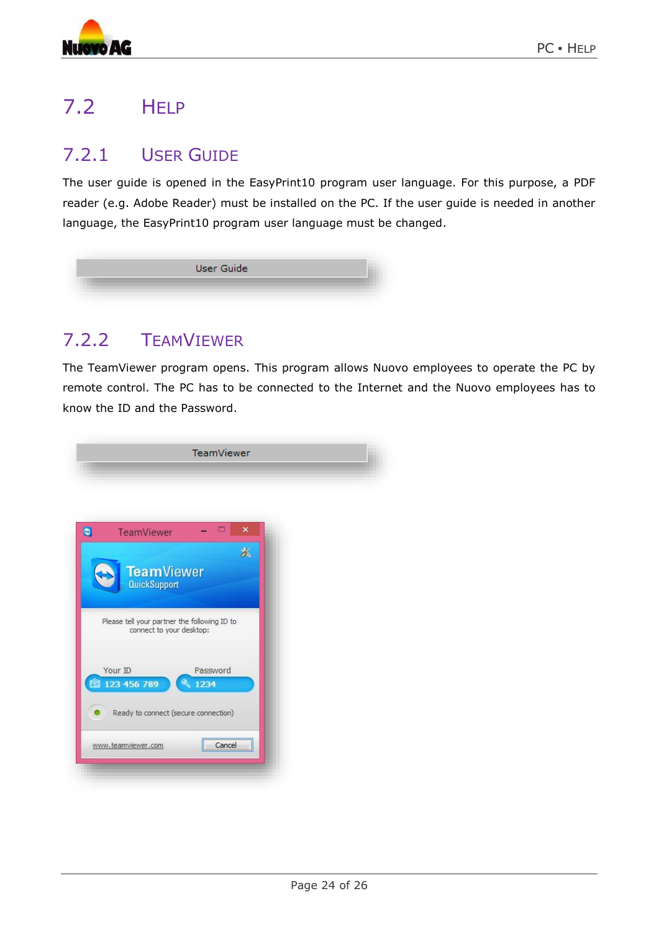![](_page_23_Picture_0.jpeg)

# <span id="page-23-0"></span>7.2 HELP

### <span id="page-23-1"></span>7.2.1 USER GUIDE

The user guide is opened in the EasyPrint10 program user language. For this purpose, a PDF reader (e.g. Adobe Reader) must be installed on the PC. If the user guide is needed in another language, the EasyPrint10 program user language must be changed.

|  | User Guide |  |
|--|------------|--|
|  |            |  |
|  |            |  |

### <span id="page-23-2"></span>7.2.2 TEAMVIEWER

The TeamViewer program opens. This program allows Nuovo employees to operate the PC by remote control. The PC has to be connected to the Internet and the Nuovo employees has to know the ID and the Password.

![](_page_23_Picture_8.jpeg)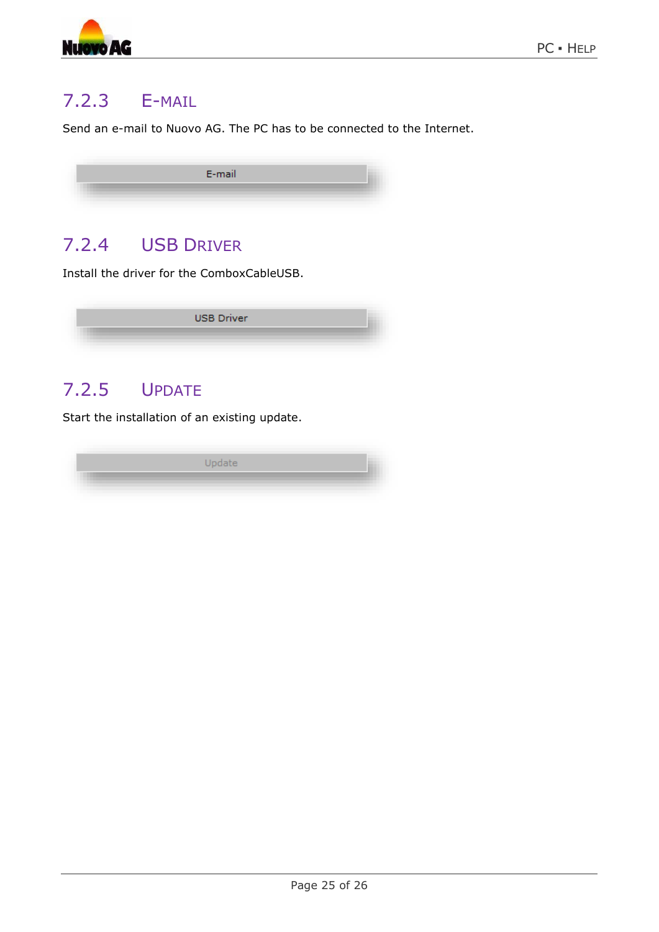![](_page_24_Picture_0.jpeg)

### <span id="page-24-0"></span>7.2.3 E-MAIL

Send an e-mail to Nuovo AG. The PC has to be connected to the Internet.

| E-mail |  |
|--------|--|
|        |  |
|        |  |

### <span id="page-24-1"></span>7.2.4 USB DRIVER

Install the driver for the ComboxCableUSB.

![](_page_24_Picture_7.jpeg)

### <span id="page-24-2"></span>7.2.5 UPDATE

Start the installation of an existing update.

![](_page_24_Picture_10.jpeg)